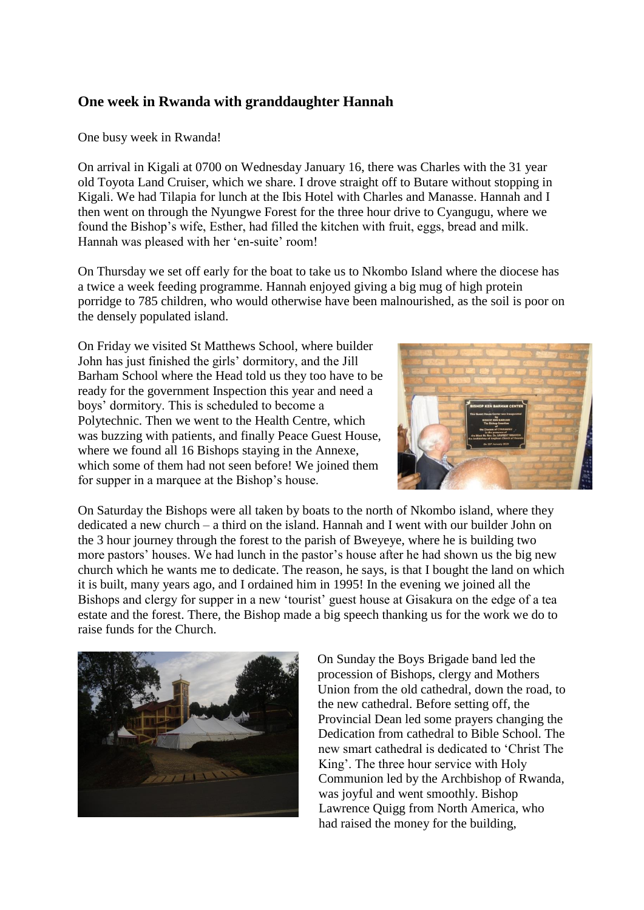## **One week in Rwanda with granddaughter Hannah**

## One busy week in Rwanda!

On arrival in Kigali at 0700 on Wednesday January 16, there was Charles with the 31 year old Toyota Land Cruiser, which we share. I drove straight off to Butare without stopping in Kigali. We had Tilapia for lunch at the Ibis Hotel with Charles and Manasse. Hannah and I then went on through the Nyungwe Forest for the three hour drive to Cyangugu, where we found the Bishop's wife, Esther, had filled the kitchen with fruit, eggs, bread and milk. Hannah was pleased with her 'en-suite' room!

On Thursday we set off early for the boat to take us to Nkombo Island where the diocese has a twice a week feeding programme. Hannah enjoyed giving a big mug of high protein porridge to 785 children, who would otherwise have been malnourished, as the soil is poor on the densely populated island.

On Friday we visited St Matthews School, where builder John has just finished the girls' dormitory, and the Jill Barham School where the Head told us they too have to be ready for the government Inspection this year and need a boys' dormitory. This is scheduled to become a Polytechnic. Then we went to the Health Centre, which was buzzing with patients, and finally Peace Guest House, where we found all 16 Bishops staying in the Annexe, which some of them had not seen before! We joined them for supper in a marquee at the Bishop's house.



On Saturday the Bishops were all taken by boats to the north of Nkombo island, where they dedicated a new church – a third on the island. Hannah and I went with our builder John on the 3 hour journey through the forest to the parish of Bweyeye, where he is building two more pastors' houses. We had lunch in the pastor's house after he had shown us the big new church which he wants me to dedicate. The reason, he says, is that I bought the land on which it is built, many years ago, and I ordained him in 1995! In the evening we joined all the Bishops and clergy for supper in a new 'tourist' guest house at Gisakura on the edge of a tea estate and the forest. There, the Bishop made a big speech thanking us for the work we do to raise funds for the Church.



On Sunday the Boys Brigade band led the procession of Bishops, clergy and Mothers Union from the old cathedral, down the road, to the new cathedral. Before setting off, the Provincial Dean led some prayers changing the Dedication from cathedral to Bible School. The new smart cathedral is dedicated to 'Christ The King'. The three hour service with Holy Communion led by the Archbishop of Rwanda, was joyful and went smoothly. Bishop Lawrence Quigg from North America, who had raised the money for the building,